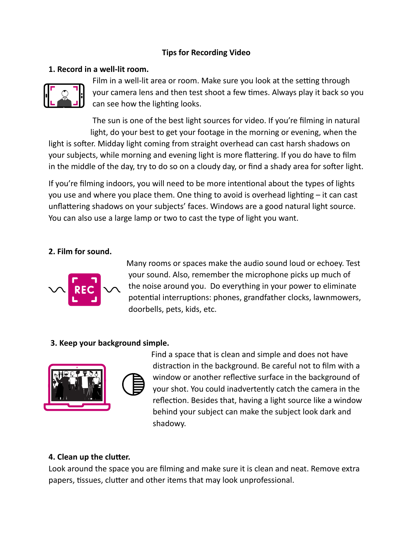### **Tips for Recording Video**

### **1. Record in a well-lit room.**



Film in a well-lit area or room. Make sure you look at the setting through your camera lens and then test shoot a few times. Always play it back so you can see how the lighting looks.

The sun is one of the best light sources for video. If you're filming in natural light, do your best to get your footage in the morning or evening, when the light is softer. Midday light coming from straight overhead can cast harsh shadows on your subjects, while morning and evening light is more flattering. If you do have to film in the middle of the day, try to do so on a cloudy day, or find a shady area for softer light.

If you're filming indoors, you will need to be more intentional about the types of lights you use and where you place them. One thing to avoid is overhead lighting  $-$  it can cast unflattering shadows on your subjects' faces. Windows are a good natural light source. You can also use a large lamp or two to cast the type of light you want.

#### **2. Film for sound.**



Many rooms or spaces make the audio sound loud or echoey. Test your sound. Also, remember the microphone picks up much of the noise around you. Do everything in your power to eliminate potential interruptions: phones, grandfather clocks, lawnmowers, doorbells, pets, kids, etc.

#### **3. Keep your background simple.**



Find a space that is clean and simple and does not have distraction in the background. Be careful not to film with a window or another reflective surface in the background of your shot. You could inadvertently catch the camera in the reflection. Besides that, having a light source like a window behind your subject can make the subject look dark and shadowy.

#### **4. Clean up the clutter.**

Look around the space you are filming and make sure it is clean and neat. Remove extra papers, tissues, clutter and other items that may look unprofessional.